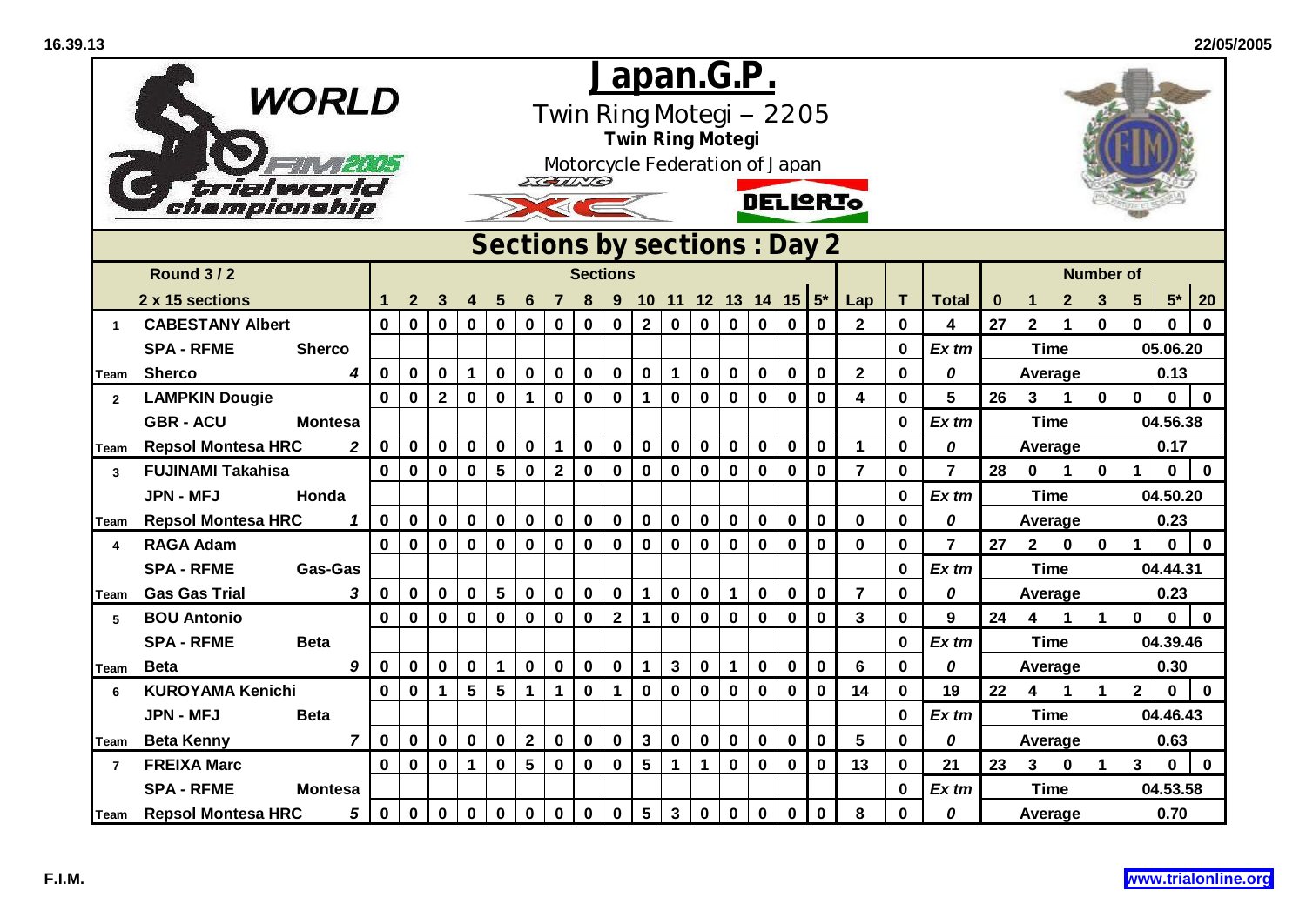|                         | <b>WORLD</b><br>trialworl<br>chamoionship   |              |                                                 |                |              |                 | EGUND           |                         | <u>Japan.G.P.</u> |                         |                 | <b>Twin Ring Motegi</b> |                |              | Twin Ring Motegi -- 2205<br>Motorcycle Federation of Japan<br><b>DELIGRIO</b> |                         |             |                         |              |                  |          |                         |              |                      |                 |              |             |
|-------------------------|---------------------------------------------|--------------|-------------------------------------------------|----------------|--------------|-----------------|-----------------|-------------------------|-------------------|-------------------------|-----------------|-------------------------|----------------|--------------|-------------------------------------------------------------------------------|-------------------------|-------------|-------------------------|--------------|------------------|----------|-------------------------|--------------|----------------------|-----------------|--------------|-------------|
|                         |                                             |              | Sections by sections : Day 2<br><b>Sections</b> |                |              |                 |                 |                         |                   |                         |                 |                         |                |              |                                                                               |                         |             |                         |              |                  |          |                         |              |                      |                 |              |             |
|                         | <b>Round 3/2</b>                            |              |                                                 |                |              |                 |                 |                         |                   |                         |                 |                         |                |              |                                                                               |                         |             |                         |              |                  |          |                         |              | <b>Number of</b>     |                 |              |             |
|                         | 2 x 15 sections                             |              | $\mathbf{2}$                                    | 3              | 4            | 5               | 6               |                         |                   | 9                       |                 |                         |                |              |                                                                               | 10 11 12 13 14 15 $5^*$ |             | Lap                     | т            | <b>Total</b>     | $\bf{0}$ | 1                       | $\mathbf{2}$ | 3                    | $5\phantom{.0}$ | $5*$         | 20          |
| $\blacktriangleleft$    | <b>CABESTANY Albert</b>                     | $\mathbf 0$  | $\mathbf 0$                                     | $\mathbf 0$    | $\mathbf 0$  | $\mathbf 0$     | $\mathbf 0$     | $\bf{0}$                | $\mathbf 0$       | $\bf{0}$                | $\overline{2}$  | $\mathbf 0$             | $\mathbf 0$    | $\mathbf 0$  | $\mathbf 0$                                                                   | $\mathbf 0$             | $\mathbf 0$ | $\overline{2}$          | $\mathbf 0$  | 4                | 27       | $\overline{2}$          | 1            | $\mathbf{0}$         | $\mathbf 0$     | $\mathbf{0}$ | $\bf{0}$    |
|                         | <b>SPA - RFME</b><br><b>Sherco</b>          |              |                                                 |                |              |                 |                 |                         |                   |                         |                 |                         |                |              |                                                                               |                         |             |                         | $\mathbf 0$  | $Ex$ tm          |          | <b>Time</b>             |              |                      |                 | 05.06.20     |             |
| Team                    | <b>Sherco</b><br>4                          | $\mathbf 0$  | $\mathbf 0$                                     | $\mathbf 0$    | $\mathbf{1}$ | $\mathbf 0$     | $\mathbf 0$     | $\mathbf 0$             | $\pmb{0}$         | $\mathbf 0$             | $\mathbf 0$     | $\mathbf 1$             | $\mathbf 0$    | $\mathbf 0$  | $\mathbf 0$                                                                   | $\mathbf 0$             | $\mathbf 0$ | $\overline{2}$          | $\mathbf 0$  | 0                |          | Average                 |              |                      |                 | 0.13         |             |
| $\overline{2}$          | <b>LAMPKIN Dougie</b>                       | $\mathbf{0}$ | $\mathbf 0$                                     | $\overline{2}$ | $\mathbf 0$  | $\mathbf 0$     | $\mathbf{1}$    | $\bf{0}$                | $\mathbf 0$       | $\mathbf 0$             | $\mathbf{1}$    | $\mathbf 0$             | $\mathbf 0$    | $\mathbf 0$  | $\mathbf 0$                                                                   | $\mathbf 0$             | $\bf{0}$    | $\overline{\mathbf{4}}$ | $\mathbf 0$  | 5                | 26       | 3                       | 1            | $\mathbf 0$          | $\mathbf 0$     | $\mathbf 0$  | $\mathbf 0$ |
|                         | <b>GBR - ACU</b><br><b>Montesa</b>          |              |                                                 |                |              |                 |                 |                         |                   |                         |                 |                         |                |              |                                                                               |                         |             |                         | $\mathbf 0$  | $Ex$ tm          |          | <b>Time</b>             |              |                      |                 | 04.56.38     |             |
| Team                    | <b>Repsol Montesa HRC</b><br>$\overline{2}$ | $\mathbf 0$  | $\mathbf 0$                                     | $\mathbf 0$    | $\mathbf 0$  | $\mathbf 0$     | $\mathbf 0$     | $\mathbf{1}$            | $\pmb{0}$         | $\pmb{0}$               | $\mathbf 0$     | $\bf{0}$                | $\mathbf 0$    | $\mathbf 0$  | $\mathbf 0$                                                                   | $\mathbf 0$             | $\bf{0}$    | $\mathbf{1}$            | $\mathbf 0$  | 0                |          | Average                 |              |                      |                 | 0.17         |             |
| 3                       | <b>FUJINAMI Takahisa</b>                    | $\mathbf{0}$ | $\mathbf{0}$                                    | $\pmb{0}$      | $\mathbf 0$  | 5               | $\bf{0}$        | $\overline{\mathbf{2}}$ | $\mathbf 0$       | $\mathbf 0$             | $\mathbf 0$     | $\mathbf 0$             | $\mathbf 0$    | $\mathbf 0$  | $\mathbf 0$                                                                   | $\mathbf 0$             | $\mathbf 0$ | $\overline{7}$          | $\mathbf{0}$ | $\overline{7}$   | 28       | $\mathbf 0$             | 1            | $\mathbf 0$          | $\mathbf{1}$    | $\bf{0}$     | $\mathbf 0$ |
|                         | <b>JPN - MFJ</b><br>Honda                   |              |                                                 |                |              |                 |                 |                         |                   |                         |                 |                         |                |              |                                                                               |                         |             |                         | $\mathbf 0$  | $Ex$ tm          |          | <b>Time</b>             |              |                      | 04.50.20        |              |             |
| Team                    | <b>Repsol Montesa HRC</b><br>1              | $\mathbf 0$  | $\mathbf 0$                                     | $\mathbf 0$    | $\mathbf 0$  | $\pmb{0}$       | $\mathbf 0$     | $\pmb{0}$               | $\pmb{0}$         | $\mathbf 0$             | $\pmb{0}$       | $\mathbf 0$             | $\mathbf 0$    | $\bf{0}$     | $\bf{0}$                                                                      | $\pmb{0}$               | $\bf{0}$    | 0                       | 0            | 0                |          | Average                 |              |                      |                 | 0.23         |             |
| $\overline{\mathbf{A}}$ | <b>RAGA Adam</b>                            | $\mathbf 0$  | $\mathbf 0$                                     | $\mathbf 0$    | $\mathbf 0$  | $\mathbf 0$     | $\bf{0}$        | $\mathbf 0$             | $\pmb{0}$         | $\bf{0}$                | $\mathbf 0$     | $\mathbf 0$             | $\mathbf 0$    | $\mathbf 0$  | $\mathbf 0$                                                                   | $\bf{0}$                | $\bf{0}$    | 0                       | $\mathbf 0$  | $\overline{7}$   | 27       | $2^{\circ}$             | $\mathbf 0$  | $\mathbf{0}$         | 1               | $\mathbf 0$  | $\mathbf 0$ |
|                         | <b>SPA - RFME</b><br>Gas-Gas                |              |                                                 |                |              |                 |                 |                         |                   |                         |                 |                         |                |              |                                                                               |                         |             |                         | $\mathbf 0$  | Ex tm            |          | <b>Time</b>             |              |                      |                 | 04.44.31     |             |
| <b>Team</b>             | 3<br><b>Gas Gas Trial</b>                   | $\mathbf 0$  | $\mathbf 0$                                     | $\pmb{0}$      | $\pmb{0}$    | ${\bf 5}$       | $\pmb{0}$       | $\pmb{0}$               | $\pmb{0}$         | $\mathbf 0$             | $\mathbf{1}$    | $\mathbf 0$             | $\mathbf 0$    | $\mathbf{1}$ | $\pmb{0}$                                                                     | $\pmb{0}$               | $\bf{0}$    | $\overline{7}$          | $\mathbf 0$  | 0                |          | Average                 |              |                      |                 | 0.23         |             |
| 5                       | <b>BOU Antonio</b>                          | $\mathbf 0$  | 0                                               | $\bf{0}$       | $\mathbf 0$  | $\pmb{0}$       | $\mathbf 0$     | 0                       | $\pmb{0}$         | $\overline{\mathbf{2}}$ | 1               | $\mathbf 0$             | 0              | $\mathbf 0$  | $\bf{0}$                                                                      | $\bf{0}$                | 0           | 3                       | 0            | $\boldsymbol{9}$ | 24       | $\overline{\mathbf{4}}$ | 1            | $\blacktriangleleft$ | 0               | $\mathbf 0$  | $\bf{0}$    |
|                         | <b>SPA - RFME</b><br><b>Beta</b>            |              |                                                 |                |              |                 |                 |                         |                   |                         |                 |                         |                |              |                                                                               |                         |             |                         | 0            | $Ex$ tm          |          | <b>Time</b>             |              |                      |                 | 04.39.46     |             |
| Team                    | 9<br><b>Beta</b>                            | 0            | $\mathbf{0}$                                    | $\mathbf 0$    | $\mathbf 0$  | $\mathbf{1}$    | $\mathbf 0$     | $\mathbf 0$             | $\pmb{0}$         | $\mathbf 0$             | $\mathbf{1}$    | $\mathbf{3}$            | $\mathbf 0$    | $\mathbf{1}$ | $\mathbf 0$                                                                   | $\mathbf 0$             | $\mathbf 0$ | 6                       | $\mathbf{0}$ | 0                |          | Average                 |              | 0.30                 |                 |              |             |
| 6                       | <b>KUROYAMA Kenichi</b>                     | $\mathbf{0}$ | $\mathbf 0$                                     | $\mathbf{1}$   | 5            | $5\phantom{.0}$ | $\mathbf{1}$    | $\mathbf 1$             | $\mathbf 0$       | $\mathbf{1}$            | $\mathbf 0$     | $\mathbf 0$             | $\mathbf 0$    | $\mathbf 0$  | $\mathbf 0$                                                                   | $\mathbf 0$             | $\bf{0}$    | 14                      | $\mathbf{0}$ | 19               | 22       | $\overline{\mathbf{4}}$ | $\mathbf 1$  | $\mathbf 1$          | $\mathbf{2}$    | $\mathbf 0$  | $\mathbf 0$ |
|                         | <b>JPN - MFJ</b><br><b>Beta</b>             |              |                                                 |                |              |                 |                 |                         |                   |                         |                 |                         |                |              |                                                                               |                         |             |                         | $\mathbf 0$  | $Ex$ tm          |          | <b>Time</b>             |              |                      |                 | 04.46.43     |             |
| Team                    | <b>Beta Kenny</b><br>$\overline{7}$         | $\mathbf 0$  | $\mathbf 0$                                     | $\mathbf 0$    | $\mathbf 0$  | $\mathbf 0$     | $\overline{2}$  | $\mathbf 0$             | $\pmb{0}$         | $\mathbf 0$             | $\mathbf{3}$    | $\mathbf 0$             | $\mathbf 0$    | $\mathbf 0$  | $\bf{0}$                                                                      | $\mathbf 0$             | $\bf{0}$    | 5                       | $\mathbf{0}$ | 0                |          | Average                 |              |                      |                 | 0.63         |             |
| $\overline{7}$          | <b>FREIXA Marc</b>                          | $\mathbf{0}$ | $\mathbf 0$                                     | $\mathbf 0$    | $\mathbf 1$  | $\mathbf 0$     | $5\phantom{.0}$ | $\mathbf 0$             | $\pmb{0}$         | $\mathbf 0$             | $5\phantom{.0}$ | $\mathbf{1}$            | $\overline{1}$ | $\mathbf 0$  | $\mathbf 0$                                                                   | $\mathbf 0$             | $\mathbf 0$ | 13                      | $\mathbf{0}$ | 21               | 23       | $\mathbf{3}$            | $\mathbf 0$  | $\mathbf 1$          | $\mathbf{3}$    | $\mathbf 0$  | $\mathbf 0$ |
|                         | <b>SPA - RFME</b><br><b>Montesa</b>         |              |                                                 |                |              |                 |                 |                         |                   |                         |                 |                         |                |              |                                                                               |                         |             |                         | $\bf{0}$     | $Ex$ tm          |          | <b>Time</b>             |              |                      |                 | 04.53.58     |             |
|                         | 5<br>Team Repsol Montesa HRC                | $\mathbf 0$  | $\mathbf 0$                                     | $\mathbf 0$    | $\bf{0}$     | $\pmb{0}$       | 0               | 0                       | $\pmb{0}$         | $\mathbf 0$             | $5\phantom{.0}$ | $\mathbf{3}$            | $\mathbf 0$    | $\mathbf 0$  | $\pmb{0}$                                                                     | $\pmb{0}$               | $\bf{0}$    | 8                       | 0            | 0                |          | Average                 |              |                      |                 | 0.70         |             |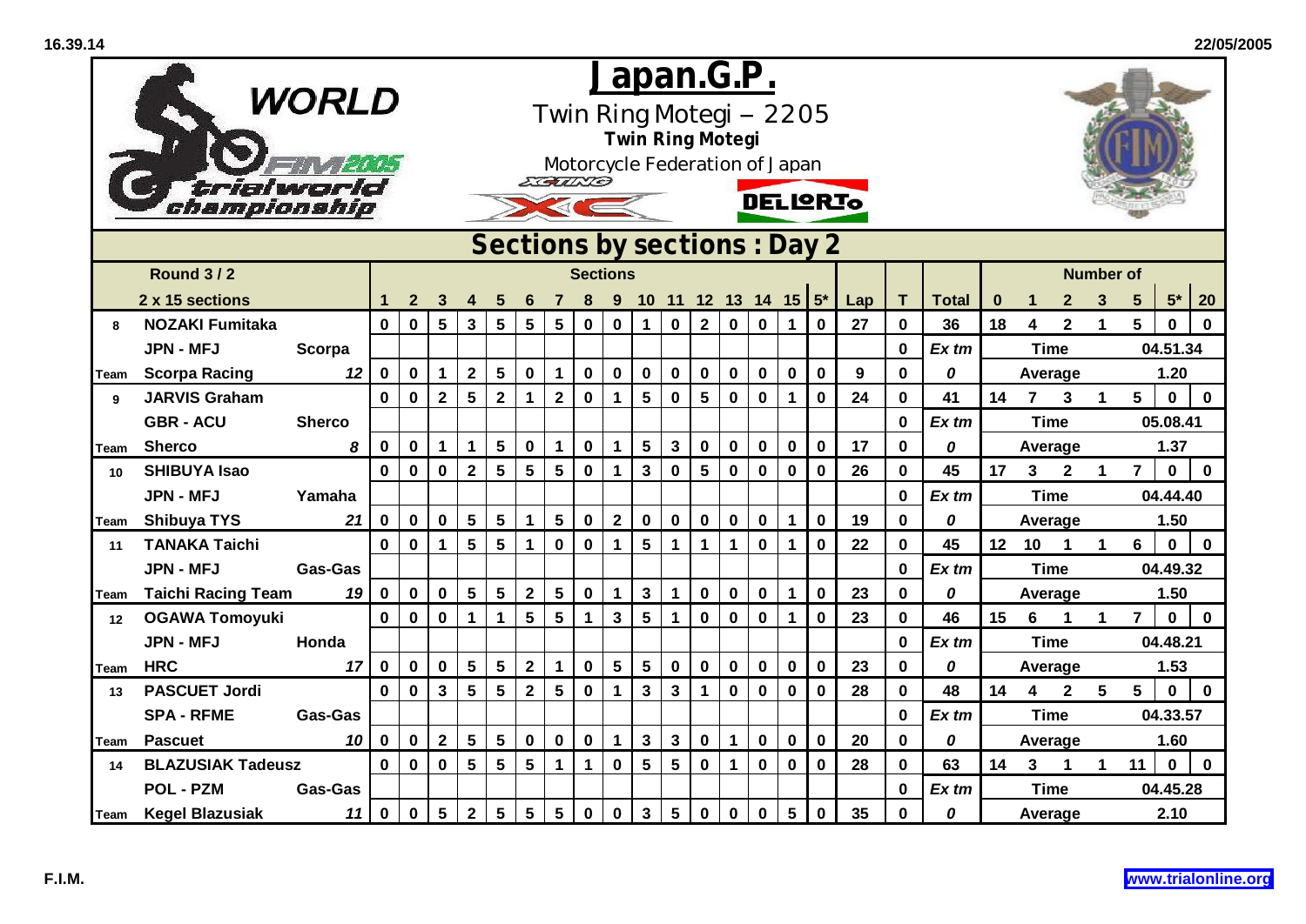|      | <b>WORLD</b>                |                | <u>Japan.G.P.</u><br>Twin Ring Motegi -- 2205<br><b>Twin Ring Motegi</b><br>Motorcycle Federation of Japan<br>ECALES |              |                         |                         |                 |                 |                         |                  |                 |                         |                 |                      |              |             |                             |             |     |              |              |          |                         |                |                      |                 |             |              |  |
|------|-----------------------------|----------------|----------------------------------------------------------------------------------------------------------------------|--------------|-------------------------|-------------------------|-----------------|-----------------|-------------------------|------------------|-----------------|-------------------------|-----------------|----------------------|--------------|-------------|-----------------------------|-------------|-----|--------------|--------------|----------|-------------------------|----------------|----------------------|-----------------|-------------|--------------|--|
|      | trialworlo<br>championship  |                |                                                                                                                      |              |                         |                         |                 |                 |                         |                  |                 |                         |                 |                      |              |             | <b>DELIQRIO</b>             |             |     |              |              |          |                         |                |                      |                 |             |              |  |
|      |                             |                |                                                                                                                      |              |                         |                         |                 |                 |                         |                  |                 |                         |                 |                      |              |             | Sections by sections: Day 2 |             |     |              |              |          |                         |                |                      |                 |             |              |  |
|      | <b>Round 3/2</b>            |                |                                                                                                                      |              |                         |                         |                 |                 |                         |                  | <b>Sections</b> |                         |                 |                      |              |             |                             |             |     |              |              |          |                         |                | <b>Number of</b>     |                 |             |              |  |
|      | 2 x 15 sections             |                |                                                                                                                      | $\mathbf{2}$ | 3                       | 4                       | 5               | 6               |                         | 8                | 9               |                         |                 |                      |              |             | 10 11 12 13 14 15 $5^*$     |             | Lap | т            | <b>Total</b> | $\bf{0}$ | 1                       | $\mathbf{2}$   | 3                    | $5\phantom{.0}$ | $5*$        | 20           |  |
| 8    | <b>NOZAKI Fumitaka</b>      |                | $\mathbf 0$                                                                                                          | $\mathbf 0$  | $5\phantom{.0}$         | $\mathbf{3}$            | 5               | $5\phantom{1}$  | 5                       | $\bf{0}$         | $\bf{0}$        | $\mathbf 1$             | $\mathbf 0$     | $\mathbf 2$          | $\mathbf 0$  | $\pmb{0}$   | 1                           | $\bf{0}$    | 27  | 0            | 36           | 18       | 4                       | $\mathbf{2}$   | $\mathbf{1}$         | 5               | $\bf{0}$    | $\bf{0}$     |  |
|      | <b>JPN - MFJ</b>            | Scorpa         |                                                                                                                      |              |                         |                         |                 |                 |                         |                  |                 |                         |                 |                      |              |             |                             |             |     | 0            | $Ex$ tm      |          | <b>Time</b>             |                |                      |                 | 04.51.34    |              |  |
| Team | <b>Scorpa Racing</b>        | 12             | $\mathbf 0$                                                                                                          | $\mathbf 0$  | $\mathbf 1$             | $\mathbf{2}$            | $\sqrt{5}$      | $\mathbf 0$     | $\mathbf 1$             | $\boldsymbol{0}$ | $\bf{0}$        | $\mathbf 0$             | $\mathbf 0$     | $\mathbf 0$          | $\mathbf 0$  | $\bf{0}$    | $\pmb{0}$                   | $\mathbf 0$ | 9   | $\mathbf 0$  | 0            |          | Average                 |                |                      |                 | 1.20        |              |  |
| 9    | <b>JARVIS Graham</b>        |                | $\mathbf{0}$                                                                                                         | $\mathbf 0$  | $\overline{\mathbf{2}}$ | $5\phantom{.0}$         | $\mathbf{2}$    | $\mathbf 1$     | $\overline{\mathbf{2}}$ | $\mathbf 0$      | $\mathbf{1}$    | $5\phantom{a}$          | $\mathbf 0$     | 5                    | $\mathbf 0$  | $\mathbf 0$ | $\mathbf 1$                 | $\bf{0}$    | 24  | 0            | 41           | 14       | $\overline{7}$          | 3              | $\blacktriangleleft$ | 5               | $\mathbf 0$ | $\bf{0}$     |  |
|      | <b>GBR - ACU</b>            | <b>Sherco</b>  |                                                                                                                      |              |                         |                         |                 |                 |                         |                  |                 |                         |                 |                      |              |             |                             |             |     | 0            | $Ex$ tm      |          | <b>Time</b>             |                |                      | 05.08.41        |             |              |  |
| Team | <b>Sherco</b>               | 8              | $\mathbf 0$                                                                                                          | $\mathbf 0$  | $\mathbf 1$             | $\mathbf 1$             | $5\phantom{a}$  | $\mathbf 0$     | $\mathbf 1$             | $\boldsymbol{0}$ | $\mathbf 1$     | 5                       | $\mathbf{3}$    | $\boldsymbol{0}$     | $\mathbf 0$  | $\mathbf 0$ | $\mathbf 0$                 | $\mathbf 0$ | 17  | $\mathbf{0}$ | 0            |          | Average                 |                |                      | 1.37            |             |              |  |
| 10   | <b>SHIBUYA Isao</b>         |                | $\mathbf{0}$                                                                                                         | $\mathbf 0$  | $\mathbf 0$             | $\overline{\mathbf{2}}$ | 5               | 5               | 5                       | $\mathbf 0$      | $\mathbf{1}$    | $\overline{\mathbf{3}}$ | $\mathbf 0$     | 5 <sup>5</sup>       | $\mathbf 0$  | $\mathbf 0$ | $\mathbf 0$                 | $\mathbf 0$ | 26  | $\mathbf{0}$ | 45           | 17       | $\mathbf{3}$            | $\overline{2}$ |                      | $\overline{7}$  | $\mathbf 0$ | $\mathbf{0}$ |  |
|      | <b>JPN - MFJ</b>            | Yamaha         |                                                                                                                      |              |                         |                         |                 |                 |                         |                  |                 |                         |                 |                      |              |             |                             |             |     | 0            | $Ex$ tm      |          | <b>Time</b>             |                |                      |                 | 04.44.40    |              |  |
| Team | <b>Shibuya TYS</b>          | 21             | $\mathbf 0$                                                                                                          | $\bf{0}$     | $\mathbf 0$             | $5\phantom{1}$          | $5\phantom{a}$  | $\mathbf 1$     | $5\phantom{.0}$         | $\mathbf 0$      | $\overline{2}$  | $\mathbf 0$             | $\mathbf 0$     | $\mathbf 0$          | $\mathbf 0$  | $\bf{0}$    | $\mathbf 1$                 | $\bf{0}$    | 19  | 0            | 0            |          | Average                 |                |                      |                 | 1.50        |              |  |
| 11   | <b>TANAKA Taichi</b>        |                | $\mathbf{0}$                                                                                                         | $\mathbf 0$  | $\mathbf{1}$            | $5\phantom{.0}$         | $5\phantom{.0}$ | $\mathbf{1}$    | $\bf{0}$                | $\mathbf 0$      | $\mathbf{1}$    | $5\phantom{.0}$         | $\mathbf{1}$    | $\blacktriangleleft$ | $\mathbf{1}$ | $\mathbf 0$ | $\blacktriangleleft$        | $\bf{0}$    | 22  | 0            | 45           | 12       | 10                      | $\mathbf 1$    | $\mathbf 1$          | 6               | $\bf{0}$    | $\mathbf 0$  |  |
|      | <b>JPN - MFJ</b>            | <b>Gas-Gas</b> |                                                                                                                      |              |                         |                         |                 |                 |                         |                  |                 |                         |                 |                      |              |             |                             |             |     | 0            | $Ex$ tm      |          | <b>Time</b>             |                |                      |                 | 04.49.32    |              |  |
| Team | <b>Taichi Racing Team</b>   | 19             | $\mathbf 0$                                                                                                          | $\mathbf 0$  | $\mathbf 0$             | $5\phantom{1}$          | $5\phantom{a}$  | $\mathbf 2$     | $5\phantom{.0}$         | $\mathbf 0$      | $\mathbf{1}$    | $\mathbf{3}$            | $\mathbf 1$     | $\mathbf 0$          | $\mathbf 0$  | $\pmb{0}$   | 1                           | $\bf{0}$    | 23  | $\mathbf 0$  | 0            |          | Average                 |                |                      |                 | 1.50        |              |  |
| 12   | <b>OGAWA Tomoyuki</b>       |                | $\mathbf 0$                                                                                                          | $\mathbf 0$  | $\bf{0}$                | $\mathbf{1}$            | 1               | 5               | 5                       | $\mathbf 1$      | $\mathbf{3}$    | $5\phantom{.0}$         | 1               | $\mathbf 0$          | $\mathbf 0$  | $\mathbf 0$ | $\mathbf 1$                 | $\bf{0}$    | 23  | $\mathbf 0$  | 46           | 15       | 6                       | 1              | 1                    | $\overline{7}$  | $\mathbf 0$ | $\bf{0}$     |  |
|      | <b>JPN - MFJ</b>            | Honda          |                                                                                                                      |              |                         |                         |                 |                 |                         |                  |                 |                         |                 |                      |              |             |                             |             |     | 0            | $Ex$ tm      |          | <b>Time</b>             |                |                      |                 | 04.48.21    |              |  |
| Team | <b>HRC</b>                  | 17             | $\mathbf 0$                                                                                                          | $\mathbf 0$  | $\mathbf 0$             | $5\phantom{a}$          | $5\phantom{a}$  | $\overline{2}$  | $\mathbf 1$             | $\mathbf 0$      | $5\phantom{.0}$ | $5\phantom{a}$          | $\bf{0}$        | $\mathbf 0$          | $\bf{0}$     | $\mathbf 0$ | $\pmb{0}$                   | $\bf{0}$    | 23  | 0            | 0            |          | Average                 |                |                      | 1.53            |             |              |  |
| 13   | <b>PASCUET Jordi</b>        |                | $\mathbf{0}$                                                                                                         | $\mathbf{0}$ | $\mathbf{3}$            | $5\phantom{.0}$         | 5               | $\overline{2}$  | 5                       | $\pmb{0}$        | $\mathbf{1}$    | $\mathbf{3}$            | 3               | 1                    | $\mathbf 0$  | $\mathbf 0$ | $\bf{0}$                    | $\bf{0}$    | 28  | 0            | 48           | 14       | $\overline{\mathbf{4}}$ | $\overline{2}$ | $5\phantom{.0}$      | 5               | $\mathbf 0$ | $\mathbf 0$  |  |
|      | <b>SPA - RFME</b>           | <b>Gas-Gas</b> |                                                                                                                      |              |                         |                         |                 |                 |                         |                  |                 |                         |                 |                      |              |             |                             |             |     | $\mathbf{0}$ | $Ex$ tm      |          | <b>Time</b>             |                |                      |                 | 04.33.57    |              |  |
| Team | <b>Pascuet</b>              | 10             | $\mathbf 0$                                                                                                          | $\mathbf 0$  | $\overline{\mathbf{2}}$ | $5\phantom{1}$          | 5               | $\mathbf 0$     | $\mathbf 0$             | $\pmb{0}$        | $\mathbf{1}$    | $\mathbf{3}$            | $\mathbf{3}$    | $\mathbf 0$          | $\mathbf{1}$ | $\mathbf 0$ | $\mathbf 0$                 | $\mathbf 0$ | 20  | $\mathbf{0}$ | 0            |          | Average                 |                |                      |                 | 1.60        |              |  |
| 14   | <b>BLAZUSIAK Tadeusz</b>    |                | $\mathbf{0}$                                                                                                         | $\mathbf 0$  | $\mathbf 0$             | $5\phantom{.0}$         | $5\phantom{.0}$ | $5\phantom{.0}$ | $\mathbf{1}$            | $\mathbf 1$      | $\mathbf 0$     | $5\phantom{1}$          | 5 <sup>5</sup>  | $\mathbf 0$          | $\mathbf{1}$ | $\mathbf 0$ | $\mathbf 0$                 | $\mathbf 0$ | 28  | $\mathbf{0}$ | 63           | 14       | $\mathbf{3}$            | $\mathbf 1$    | $\mathbf 1$          | 11              | $\mathbf 0$ | $\mathbf 0$  |  |
|      | <b>POL - PZM</b>            | <b>Gas-Gas</b> |                                                                                                                      |              |                         |                         |                 |                 |                         |                  |                 |                         |                 |                      |              |             |                             |             |     | $\bf{0}$     | $Ex$ tm      |          | <b>Time</b>             |                |                      |                 | 04.45.28    |              |  |
|      | <b>Team</b> Kegel Blazusiak | 11             | $\mathbf 0$                                                                                                          | $\mathbf 0$  | $5\phantom{.0}$         | $\mathbf 2$             | 5               | $5\phantom{.0}$ | $5\phantom{.0}$         | $\boldsymbol{0}$ | $\mathbf 0$     | $\mathbf{3}$            | $5\phantom{.0}$ | $\mathbf 0$          | $\bf{0}$     | $\bf{0}$    | $5\phantom{.0}$             | $\mathbf 0$ | 35  | 0            | 0            |          | Average                 |                |                      |                 | 2.10        |              |  |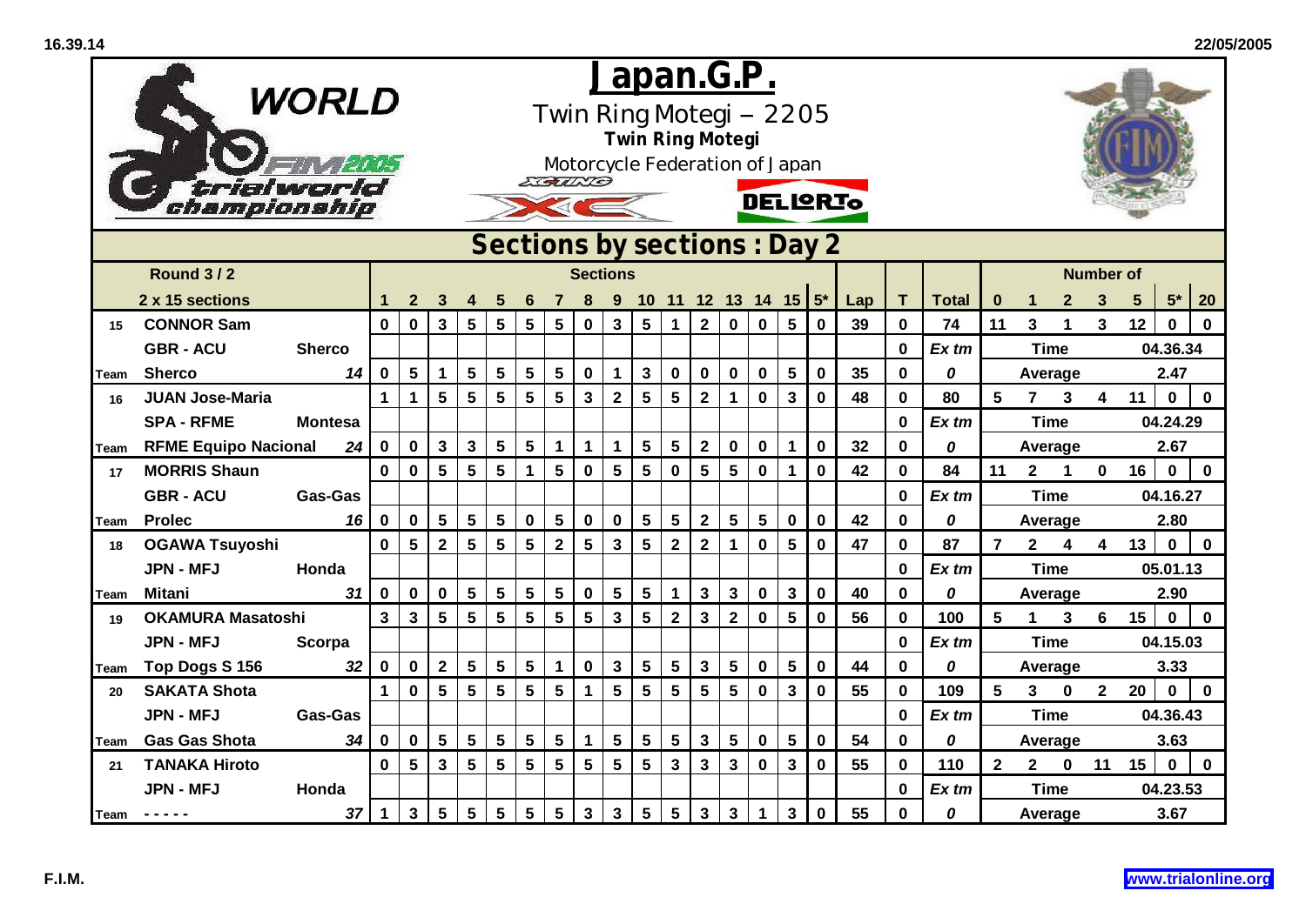|             | championship                | <b>WORLD</b>   |                 | <u>Japan.G.P.</u><br>Twin Ring Motegi -- 2205<br><b>Twin Ring Motegi</b><br>Motorcycle Federation of Japan<br>EGILLO<br><b>DELIQRIO</b><br>Sections by sections : Day 2 |                         |                         |                 |                 |                 |                 |                         |                 |                         |                         |                 |                |                         |             |     |              |              |                 |                |                  |                         |                 |             |             |  |
|-------------|-----------------------------|----------------|-----------------|-------------------------------------------------------------------------------------------------------------------------------------------------------------------------|-------------------------|-------------------------|-----------------|-----------------|-----------------|-----------------|-------------------------|-----------------|-------------------------|-------------------------|-----------------|----------------|-------------------------|-------------|-----|--------------|--------------|-----------------|----------------|------------------|-------------------------|-----------------|-------------|-------------|--|
|             |                             |                |                 |                                                                                                                                                                         |                         |                         |                 |                 |                 |                 |                         |                 |                         |                         |                 |                |                         |             |     |              |              |                 |                |                  |                         |                 |             |             |  |
|             | <b>Round 3/2</b>            |                |                 |                                                                                                                                                                         |                         |                         |                 |                 |                 |                 | <b>Sections</b>         |                 |                         |                         |                 |                |                         |             |     |              |              |                 |                |                  | <b>Number of</b>        |                 |             |             |  |
|             | 2 x 15 sections             |                |                 | $\mathbf{2}$                                                                                                                                                            | 3                       | 4                       | 5               | 6               |                 | 8               | 9                       |                 |                         |                         |                 |                | 10 11 12 13 14 15 $5^*$ |             | Lap | T.           | <b>Total</b> | $\bf{0}$        |                | $\mathbf{2}$     | 3                       | $5\phantom{.0}$ | $5*$        | 20          |  |
| 15          | <b>CONNOR Sam</b>           |                | $\mathbf 0$     | $\mathbf 0$                                                                                                                                                             | 3                       | 5                       | 5               | $5\phantom{1}$  | 5               | $\bf{0}$        | 3                       | $5\phantom{.0}$ | $\mathbf 1$             | $\overline{2}$          | $\mathbf 0$     | $\mathbf 0$    | $5\phantom{.0}$         | $\bf{0}$    | 39  | $\mathbf 0$  | 74           | 11              | $\overline{3}$ | 1                | 3                       | 12              | $\bf{0}$    | $\bf{0}$    |  |
|             | <b>GBR - ACU</b>            | <b>Sherco</b>  |                 |                                                                                                                                                                         |                         |                         |                 |                 |                 |                 |                         |                 |                         |                         |                 |                |                         |             |     | 0            | $Ex$ tm      |                 | <b>Time</b>    |                  |                         |                 | 04.36.34    |             |  |
| <b>Team</b> | <b>Sherco</b>               | $\mathbf 0$    | $5\phantom{.0}$ | $\mathbf 1$                                                                                                                                                             | $5\phantom{.0}$         | $5\phantom{a}$          | $5\phantom{.0}$ | $5\phantom{.0}$ | $\bf{0}$        | $\mathbf 1$     | $\mathbf{3}$            | $\mathbf 0$     | $\mathbf 0$             | $\mathbf 0$             | $\mathbf 0$     | $5\phantom{1}$ | $\mathbf 0$             | 35          | 0   | 0            |              | Average         |                |                  |                         | 2.47            |             |             |  |
| 16          | <b>JUAN Jose-Maria</b>      |                | $\mathbf{1}$    | $\mathbf 1$                                                                                                                                                             | $5\phantom{.0}$         | $5\phantom{.0}$         | $5\phantom{1}$  | 5               | $5\phantom{1}$  | $\mathbf{3}$    | $\overline{\mathbf{2}}$ | $5\phantom{.0}$ | 5                       | $\mathbf{2}$            | $\mathbf{1}$    | $\mathbf 0$    | $\mathbf{3}$            | $\mathbf 0$ | 48  | $\mathbf 0$  | 80           | $5\phantom{1}$  | 7              | 3                | $\overline{\mathbf{4}}$ | 11              | $\bf{0}$    | $\mathbf 0$ |  |
|             | <b>SPA - RFME</b>           | <b>Montesa</b> |                 |                                                                                                                                                                         |                         |                         |                 |                 |                 |                 |                         |                 |                         |                         |                 |                |                         |             |     | 0            | Ex tm        |                 | <b>Time</b>    |                  |                         | 04.24.29        |             |             |  |
| Team        | <b>RFME Equipo Nacional</b> | 24             | $\mathbf 0$     | $\mathbf 0$                                                                                                                                                             | 3 <sup>1</sup>          | $\mathbf{3}$            | $5\phantom{a}$  | $5\phantom{1}$  | $\mathbf 1$     | $\mathbf{1}$    | $\mathbf{1}$            | $5\phantom{.0}$ | $\overline{\mathbf{5}}$ | $\overline{\mathbf{2}}$ | $\pmb{0}$       | $\pmb{0}$      | $\mathbf 1$             | $\mathbf 0$ | 32  | $\mathbf{0}$ | 0            |                 | Average        |                  |                         | 2.67            |             |             |  |
| 17          | <b>MORRIS Shaun</b>         |                | $\mathbf{0}$    | $\mathbf 0$                                                                                                                                                             | $5\phantom{a}$          | $\overline{\mathbf{5}}$ | 5               | 1               | 5               | $\mathbf 0$     | 5                       | 5               | $\mathbf 0$             | 5                       | $5\phantom{.0}$ | $\mathbf 0$    | 1                       | $\mathbf 0$ | 42  | 0            | 84           | 11              | 2 <sup>1</sup> | $\mathbf{1}$     | $\mathbf{0}$            | 16              | $\mathbf 0$ | $\mathbf 0$ |  |
|             | <b>GBR - ACU</b>            | <b>Gas-Gas</b> |                 |                                                                                                                                                                         |                         |                         |                 |                 |                 |                 |                         |                 |                         |                         |                 |                |                         |             |     | 0            | $Ex$ tm      |                 | <b>Time</b>    |                  |                         |                 | 04.16.27    |             |  |
| Team        | <b>Prolec</b>               | 16             | $\mathbf 0$     | $\mathbf 0$                                                                                                                                                             | $5\phantom{.0}$         | $5\phantom{1}$          | $5\phantom{a}$  | $\mathbf 0$     | $5\phantom{.0}$ | $\mathbf 0$     | $\pmb{0}$               | $5\phantom{.0}$ | 5                       | $\mathbf{2}$            | $5\phantom{a}$  | $5\phantom{1}$ | $\pmb{0}$               | $\bf{0}$    | 42  | 0            | 0            |                 | Average        |                  |                         |                 | 2.80        |             |  |
| 18          | <b>OGAWA Tsuyoshi</b>       |                | $\mathbf{0}$    | $5\phantom{1}$                                                                                                                                                          | $\overline{\mathbf{2}}$ | 5 <sup>5</sup>          | $5\phantom{.0}$ | 5               | $\overline{2}$  | $5\phantom{1}$  | $\overline{\mathbf{3}}$ | $5\phantom{.0}$ | $\mathbf{2}$            | $\overline{2}$          | $\mathbf{1}$    | $\mathbf 0$    | 5                       | $\bf{0}$    | 47  | 0            | 87           | $\overline{7}$  | $2^{\circ}$    | $\boldsymbol{4}$ | $\overline{\mathbf{4}}$ | 13              | $\mathbf 0$ | $\mathbf 0$ |  |
|             | <b>JPN - MFJ</b>            | Honda          |                 |                                                                                                                                                                         |                         |                         |                 |                 |                 |                 |                         |                 |                         |                         |                 |                |                         |             |     | 0            | $Ex$ tm      |                 | <b>Time</b>    |                  |                         |                 | 05.01.13    |             |  |
| <b>Team</b> | <b>Mitani</b>               | 31             | $\mathbf 0$     | $\mathbf 0$                                                                                                                                                             | $\mathbf 0$             | $5\phantom{.0}$         | $5\phantom{a}$  | $5\phantom{1}$  | $5\phantom{1}$  | $\pmb{0}$       | $5\phantom{1}$          | $5\phantom{.0}$ | $\mathbf{1}$            | $\mathbf{3}$            | $\mathbf{3}$    | $\pmb{0}$      | $\mathbf 3$             | $\bf{0}$    | 40  | $\mathbf 0$  | 0            |                 | Average        |                  |                         |                 | 2.90        |             |  |
| 19          | <b>OKAMURA Masatoshi</b>    |                | $\mathbf{3}$    | $\mathbf{3}$                                                                                                                                                            | $5\phantom{.0}$         | $5\phantom{.0}$         | $5\phantom{1}$  | 5               | 5               | $5\phantom{.0}$ | $\mathbf{3}$            | $5\phantom{.0}$ | $\mathbf 2$             | $\mathbf{3}$            | $\mathbf{2}$    | $\bf{0}$       | 5                       | $\bf{0}$    | 56  | 0            | 100          | 5               | $\mathbf 1$    | $\mathbf{3}$     | $6\overline{6}$         | 15              | $\bf{0}$    | $\mathbf 0$ |  |
|             | <b>JPN - MFJ</b>            | Scorpa         |                 |                                                                                                                                                                         |                         |                         |                 |                 |                 |                 |                         |                 |                         |                         |                 |                |                         |             |     | 0            | $Ex$ tm      |                 | <b>Time</b>    |                  |                         |                 | 04.15.03    |             |  |
| Team        | Top Dogs S 156              | 32             | $\mathbf 0$     | $\mathbf 0$                                                                                                                                                             | $2^{\circ}$             | $5\phantom{.0}$         | $5\phantom{.0}$ | $5\phantom{.0}$ | $\mathbf{1}$    | $\mathbf 0$     | $\mathbf{3}$            | $5\phantom{.0}$ | 5                       | $\mathbf{3}$            | 5               | $\bf{0}$       | 5                       | $\mathbf 0$ | 44  | 0            | 0            |                 | Average        |                  |                         | 3.33            |             |             |  |
| 20          | <b>SAKATA Shota</b>         |                | $\mathbf{1}$    | $\mathbf 0$                                                                                                                                                             | $5\phantom{.0}$         | $5\phantom{.0}$         | 5               | $5\phantom{a}$  | $5\phantom{1}$  | $\mathbf{1}$    | $5\phantom{a}$          | $5\phantom{.0}$ | 5                       | 5                       | 5               | $\bf{0}$       | $\mathbf 3$             | $\bf{0}$    | 55  | $\mathbf 0$  | 109          | $5\phantom{.0}$ | 3 <sup>1</sup> | $\mathbf 0$      | $2^{\circ}$             | 20              | $\mathbf 0$ | $\mathbf 0$ |  |
|             | <b>JPN - MFJ</b>            | <b>Gas-Gas</b> |                 |                                                                                                                                                                         |                         |                         |                 |                 |                 |                 |                         |                 |                         |                         |                 |                |                         |             |     | 0            | $Ex$ tm      |                 | <b>Time</b>    |                  |                         |                 | 04.36.43    |             |  |
| Team        | <b>Gas Gas Shota</b>        | 34             | 0               | $\bf{0}$                                                                                                                                                                | $5\phantom{.0}$         | $5\phantom{.0}$         | 5               | 5               | 5               | $\mathbf 1$     | 5                       | $5\phantom{.0}$ | 5                       | $\mathbf{3}$            | 5               | $\bf{0}$       | 5                       | $\bf{0}$    | 54  | 0            | 0            |                 | Average        |                  |                         |                 | 3.63        |             |  |
| 21          | <b>TANAKA Hiroto</b>        |                | $\mathbf{0}$    | $5\phantom{.0}$                                                                                                                                                         | $\mathbf{3}$            | $5\phantom{.0}$         | $5\phantom{.0}$ | 5               | 5               | $5\phantom{a}$  | $5\phantom{1}$          | $5\phantom{.0}$ | $\mathbf{3}$            | $\mathbf{3}$            | $\mathbf{3}$    | $\mathbf 0$    | $\mathbf{3}$            | $\mathbf 0$ | 55  | $\mathbf 0$  | 110          | $\overline{2}$  | $\mathbf{2}$   | $\mathbf 0$      | 11                      | 15              | $\mathbf 0$ | $\mathbf 0$ |  |
|             | <b>JPN - MFJ</b>            | Honda          |                 |                                                                                                                                                                         |                         |                         |                 |                 |                 |                 |                         |                 |                         |                         |                 |                |                         |             |     | 0            | $Ex$ tm      |                 | <b>Time</b>    |                  |                         |                 | 04.23.53    |             |  |
| Team        | -----                       | 37             | $\mathbf{1}$    | $\mathbf{3}$                                                                                                                                                            | $5\phantom{.0}$         | 5                       | 5               | 5               | 5               | $\mathbf{3}$    | $\mathbf{3}$            | $5\phantom{.0}$ | 5                       | $\mathbf{3}$            | 3               |                | $\mathbf{3}$            | $\bf{0}$    | 55  | 0            | 0            |                 | Average        |                  |                         |                 | 3.67        |             |  |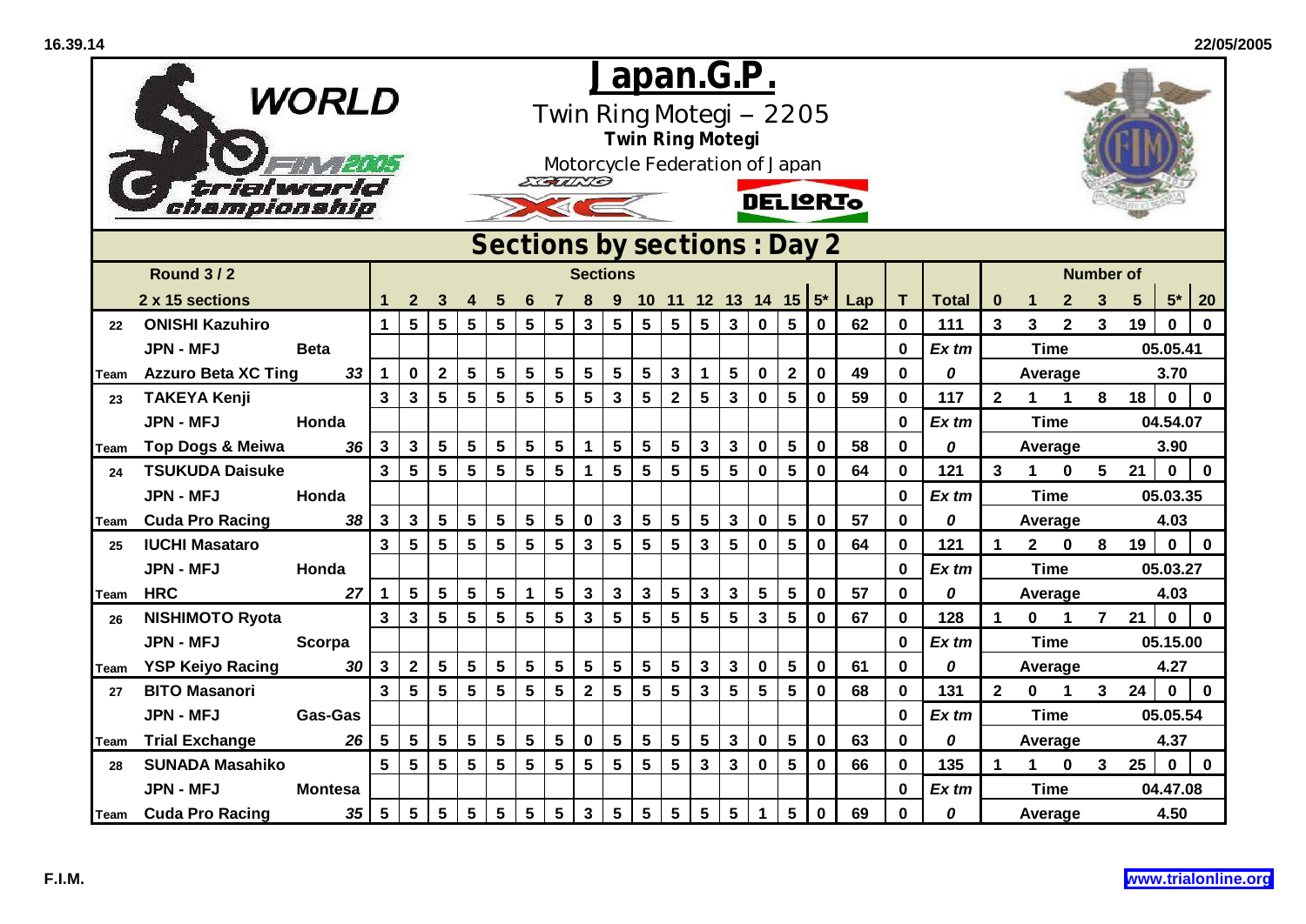|             | trialwor<br>championship                                            | WORLD           | <u>Japan.G.P.</u><br>Twin Ring Motegi -- 2205<br><b>Twin Ring Motegi</b><br>Motorcycle Federation of Japan<br>EGUND<br><b>DELIQRIO</b> |                 |                         |                 |                 |                 |                         |                         |                 |                 |                 |                         |                 |             |                         |             |     |              |              |                         |                |                |                  |            |                            |  |
|-------------|---------------------------------------------------------------------|-----------------|----------------------------------------------------------------------------------------------------------------------------------------|-----------------|-------------------------|-----------------|-----------------|-----------------|-------------------------|-------------------------|-----------------|-----------------|-----------------|-------------------------|-----------------|-------------|-------------------------|-------------|-----|--------------|--------------|-------------------------|----------------|----------------|------------------|------------|----------------------------|--|
|             | Sections by sections : Day 2<br><b>Round 3/2</b><br><b>Sections</b> |                 |                                                                                                                                        |                 |                         |                 |                 |                 |                         |                         |                 |                 |                 |                         |                 |             |                         |             |     |              |              |                         |                |                |                  |            |                            |  |
|             |                                                                     |                 |                                                                                                                                        |                 |                         |                 |                 |                 |                         |                         |                 |                 |                 |                         |                 |             |                         |             |     |              |              |                         |                |                | <b>Number of</b> |            |                            |  |
|             | 2 x 15 sections                                                     |                 |                                                                                                                                        | $\mathbf{2}$    | 3                       | 4               | 5               | 6               |                         |                         | 9               |                 |                 |                         |                 |             | 10 11 12 13 14 15 $5^*$ |             | Lap | T.           | <b>Total</b> | $\bf{0}$                | $\mathbf 1$    | $\mathbf{2}$   | 3                | $\sqrt{5}$ | 20<br>$5*$                 |  |
| 22          | <b>ONISHI Kazuhiro</b>                                              |                 | $\mathbf{1}$                                                                                                                           | $5\phantom{.0}$ | $5\phantom{.0}$         | 5               | $5\phantom{.0}$ | $5\phantom{1}$  | $5\phantom{1}$          | 3                       | 5               | $5\phantom{.0}$ | $5\phantom{1}$  | $5\phantom{.0}$         | $\mathbf{3}$    | $\mathbf 0$ | $5\phantom{1}$          | $\mathbf 0$ | 62  | $\mathbf 0$  | 111          | $\mathbf{3}$            | $\overline{3}$ | $\overline{2}$ | $\mathbf{3}$     | 19         | $\Omega$<br>$\bf{0}$       |  |
|             | <b>JPN - MFJ</b>                                                    | <b>Beta</b>     |                                                                                                                                        |                 |                         |                 |                 |                 |                         |                         |                 |                 |                 |                         |                 |             |                         |             |     | $\mathbf 0$  | $Ex$ tm      |                         | <b>Time</b>    |                |                  |            | 05.05.41                   |  |
| Team        | <b>Azzuro Beta XC Ting</b>                                          | 33              | $\mathbf 1$                                                                                                                            | $\mathbf 0$     | $\overline{\mathbf{2}}$ | $5\phantom{a}$  | $5\phantom{a}$  | $5\phantom{1}$  | $\overline{\mathbf{5}}$ | 5                       | $5\phantom{.0}$ | $5\phantom{1}$  | $\mathbf{3}$    | $\mathbf 1$             | $5\phantom{.0}$ | $\mathbf 0$ | $\mathbf{2}$            | $\mathbf 0$ | 49  | $\mathbf 0$  | 0            |                         | Average        |                |                  |            | 3.70                       |  |
| 23          | <b>TAKEYA Kenji</b>                                                 |                 | $\overline{3}$                                                                                                                         | $\mathbf{3}$    | $5\phantom{.0}$         | 5               | 5               | 5               | $5\phantom{a}$          | $5\phantom{.0}$         | $\mathbf{3}$    | 5               | $\mathbf{2}$    | $5\phantom{1}$          | $\mathbf{3}$    | $\mathbf 0$ | 5                       | $\mathbf 0$ | 59  | $\mathbf 0$  | 117          | $\mathbf{2}$            | 1              | 1              | 8                | 18         | $\mathbf 0$<br>$\mathbf 0$ |  |
|             | <b>JPN - MFJ</b>                                                    | Honda           |                                                                                                                                        |                 |                         |                 |                 |                 |                         |                         |                 |                 |                 |                         |                 |             |                         |             |     | $\mathbf 0$  | $Ex$ tm      |                         | <b>Time</b>    |                |                  |            | 04.54.07                   |  |
| Team        | <b>Top Dogs &amp; Meiwa</b>                                         | 36              | $\mathbf{3}$                                                                                                                           | $\mathbf{3}$    | $\overline{\mathbf{5}}$ | $5\phantom{1}$  | 5               | 5               | $\sqrt{5}$              | $\mathbf 1$             | $5\phantom{.0}$ | $5\phantom{.0}$ | $5\phantom{.0}$ | $\mathbf{3}$            | 3               | $\mathbf 0$ | $5\phantom{.0}$         | $\mathbf 0$ | 58  | $\mathbf{0}$ | 0            |                         | Average        |                |                  |            | 3.90                       |  |
| 24          | <b>TSUKUDA Daisuke</b>                                              |                 | $\overline{3}$                                                                                                                         | $5\phantom{.0}$ | $5\phantom{a}$          | 5               | 5               | $5\phantom{.0}$ | 5                       | $\mathbf 1$             | 5               | 5               | $5\phantom{.0}$ | $5\phantom{1}$          | 5               | $\mathbf 0$ | 5                       | $\mathbf 0$ | 64  | $\mathbf 0$  | 121          | $\overline{\mathbf{3}}$ | $\mathbf 1$    | $\bf{0}$       | $5\phantom{.0}$  | 21         | $\mathbf 0$<br>$\mathbf 0$ |  |
|             | <b>JPN - MFJ</b>                                                    | Honda           |                                                                                                                                        |                 |                         |                 |                 |                 |                         |                         |                 |                 |                 |                         |                 |             |                         |             |     | $\mathbf{0}$ | $Ex$ tm      |                         | <b>Time</b>    |                |                  |            | 05.03.35                   |  |
| Team        | <b>Cuda Pro Racing</b>                                              | 38              | 3                                                                                                                                      | $\mathbf{3}$    | $\overline{\mathbf{5}}$ | $5\phantom{1}$  | 5               | 5               | $\overline{\mathbf{5}}$ | $\pmb{0}$               | $\mathbf{3}$    | 5               | 5               | $\overline{\mathbf{5}}$ | $\mathbf{3}$    | $\mathbf 0$ | 5                       | $\mathbf 0$ | 57  | $\mathbf 0$  | 0            |                         | Average        |                |                  |            | 4.03                       |  |
| 25          | <b>IUCHI Masataro</b>                                               |                 | $\mathbf{3}$                                                                                                                           | $5\phantom{.0}$ | $5\phantom{.0}$         | $5\phantom{.0}$ | 5               | $5\phantom{.0}$ | $5\phantom{.0}$         | $\mathbf{3}$            | $5\phantom{1}$  | $5\phantom{.0}$ | $5\phantom{.0}$ | $\mathbf{3}$            | $5\phantom{.0}$ | $\mathbf 0$ | 5                       | $\bf{0}$    | 64  | 0            | 121          | $\mathbf 1$             | $2^{\circ}$    | $\mathbf 0$    | 8                | 19         | $\mathbf 0$<br>$\mathbf 0$ |  |
|             | <b>JPN - MFJ</b>                                                    | Honda           |                                                                                                                                        |                 |                         |                 |                 |                 |                         |                         |                 |                 |                 |                         |                 |             |                         |             |     | $\mathbf 0$  | $Ex$ tm      |                         | <b>Time</b>    |                |                  |            | 05.03.27                   |  |
| Team        | <b>HRC</b>                                                          | 27              | 1                                                                                                                                      | $5\phantom{.0}$ | $5\phantom{.0}$         | 5               | $5\phantom{.0}$ | 1               | $\overline{\mathbf{5}}$ | $\mathbf{3}$            | $\mathbf{3}$    | $\mathbf{3}$    | $5\phantom{.0}$ | $\mathbf{3}$            | $\mathbf{3}$    | 5           | $5\phantom{.0}$         | $\bf{0}$    | 57  | $\mathbf 0$  | 0            |                         | Average        |                |                  |            | 4.03                       |  |
| 26          | <b>NISHIMOTO Ryota</b>                                              |                 | $\overline{\mathbf{3}}$                                                                                                                | 3               | $5\phantom{.0}$         | $5\phantom{1}$  | 5               | 5               | 5                       | 3                       | 5               | 5               | 5               | 5                       | 5               | 3           | 5                       | 0           | 67  | 0            | 128          | 1                       | $\mathbf 0$    | $\mathbf{1}$   | $\overline{7}$   | 21         | $\mathbf 0$<br>$\bf{0}$    |  |
|             | <b>JPN - MFJ</b>                                                    | Scorpa          |                                                                                                                                        |                 |                         |                 |                 |                 |                         |                         |                 |                 |                 |                         |                 |             |                         |             |     | 0            | $Ex$ tm      |                         | <b>Time</b>    |                |                  |            | 05.15.00                   |  |
| <b>Team</b> | <b>YSP Keiyo Racing</b>                                             | 30              | $\mathbf{3}$                                                                                                                           | $\mathbf{2}$    | $5\phantom{.0}$         | $\sqrt{5}$      | $5\phantom{a}$  | $5\overline{)}$ | $\overline{\mathbf{5}}$ | $\overline{\mathbf{5}}$ | $5\phantom{1}$  | $5\phantom{.0}$ | $5\phantom{.0}$ | $\mathbf{3}$            | $\mathbf{3}$    | $\mathbf 0$ | $5\phantom{.0}$         | $\mathbf 0$ | 61  | $\bf{0}$     | 0            |                         | Average        |                |                  | 4.27       |                            |  |
| 27          | <b>BITO Masanori</b>                                                |                 | $\overline{3}$                                                                                                                         | 5               | $5\phantom{1}$          | 5               | 5               | 5               | $5\phantom{a}$          | $\overline{2}$          | $5\phantom{1}$  | 5               | 5               | $\mathbf{3}$            | 5               | 5           | 5                       | $\bf{0}$    | 68  | $\mathbf{0}$ | 131          | $\overline{2}$          | $\mathbf 0$    | $\mathbf 1$    | 3 <sup>1</sup>   | 24         | $\mathbf 0$<br>$\mathbf 0$ |  |
|             | <b>JPN - MFJ</b>                                                    | <b>Gas-Gas</b>  |                                                                                                                                        |                 |                         |                 |                 |                 |                         |                         |                 |                 |                 |                         |                 |             |                         |             |     | $\mathbf 0$  | $Ex$ tm      |                         | <b>Time</b>    |                |                  |            | 05.05.54                   |  |
| Team        | <b>Trial Exchange</b>                                               | 26              | 5                                                                                                                                      | 5               | $5\phantom{.0}$         | 5               | 5               | 5               | $5\phantom{a}$          | $\mathbf 0$             | $5\phantom{1}$  | 5               | 5               | 5                       | 3               | $\mathbf 0$ | 5                       | $\mathbf 0$ | 63  | $\mathbf{0}$ | 0            |                         | Average        |                |                  |            | 4.37                       |  |
| 28          | <b>SUNADA Masahiko</b>                                              |                 | 5                                                                                                                                      | $5\phantom{.0}$ | $5\phantom{.0}$         | $5\phantom{1}$  | $5\phantom{.0}$ | 5               | $5\phantom{a}$          | $5\phantom{.0}$         | $5\phantom{1}$  | $5\phantom{.0}$ | $5\phantom{.0}$ | $\mathbf{3}$            | $\mathbf{3}$    | $\mathbf 0$ | $5\phantom{1}$          | $\mathbf 0$ | 66  | $\mathbf 0$  | 135          | $\blacktriangleleft$    | $\mathbf{1}$   | $\mathbf 0$    | 3 <sup>1</sup>   | 25         | $\mathbf 0$<br>$\mathbf 0$ |  |
|             | <b>JPN - MFJ</b>                                                    | <b>Montesa</b>  |                                                                                                                                        |                 |                         |                 |                 |                 |                         |                         |                 |                 |                 |                         |                 |             |                         |             |     | $\bf{0}$     | $Ex$ tm      |                         | <b>Time</b>    |                |                  |            | 04.47.08                   |  |
|             | <b>Team</b> Cuda Pro Racing                                         | $5\phantom{.0}$ | $5\phantom{.0}$                                                                                                                        | $5\phantom{.0}$ | $5\phantom{.0}$         | $\sqrt{5}$      | 5               | $5\phantom{.0}$ | 3                       | 5                       | 5               | 5               | $5\phantom{.0}$ | 5                       |                 | 5           | $\bf{0}$                | 69          | 0   | 0            |              | Average                 |                |                |                  | 4.50       |                            |  |